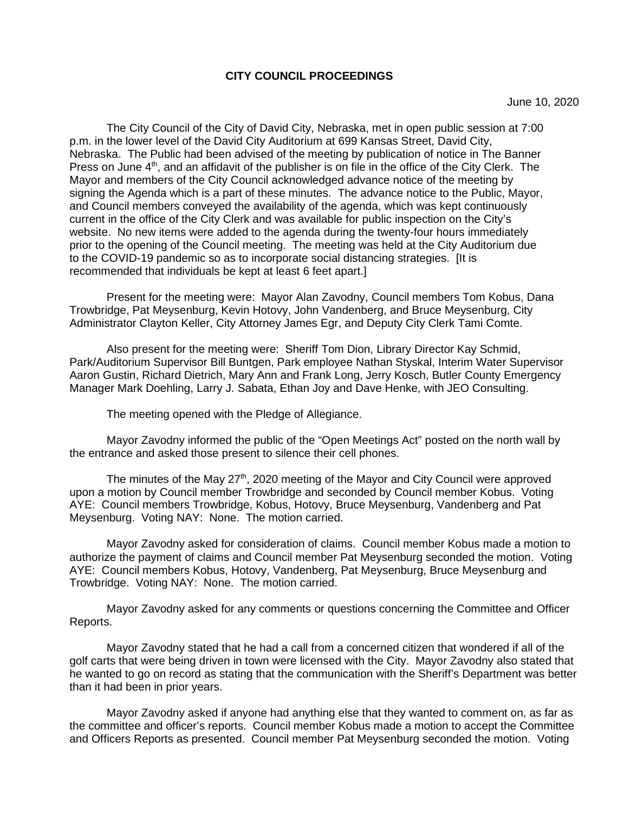## **CITY COUNCIL PROCEEDINGS**

The City Council of the City of David City, Nebraska, met in open public session at 7:00 p.m. in the lower level of the David City Auditorium at 699 Kansas Street, David City, Nebraska. The Public had been advised of the meeting by publication of notice in The Banner Press on June  $4<sup>th</sup>$ , and an affidavit of the publisher is on file in the office of the City Clerk. The Mayor and members of the City Council acknowledged advance notice of the meeting by signing the Agenda which is a part of these minutes. The advance notice to the Public, Mayor, and Council members conveyed the availability of the agenda, which was kept continuously current in the office of the City Clerk and was available for public inspection on the City's website. No new items were added to the agenda during the twenty-four hours immediately prior to the opening of the Council meeting. The meeting was held at the City Auditorium due to the COVID-19 pandemic so as to incorporate social distancing strategies. [It is recommended that individuals be kept at least 6 feet apart.]

Present for the meeting were: Mayor Alan Zavodny, Council members Tom Kobus, Dana Trowbridge, Pat Meysenburg, Kevin Hotovy, John Vandenberg, and Bruce Meysenburg, City Administrator Clayton Keller, City Attorney James Egr, and Deputy City Clerk Tami Comte.

Also present for the meeting were: Sheriff Tom Dion, Library Director Kay Schmid, Park/Auditorium Supervisor Bill Buntgen, Park employee Nathan Styskal, Interim Water Supervisor Aaron Gustin, Richard Dietrich, Mary Ann and Frank Long, Jerry Kosch, Butler County Emergency Manager Mark Doehling, Larry J. Sabata, Ethan Joy and Dave Henke, with JEO Consulting.

The meeting opened with the Pledge of Allegiance.

Mayor Zavodny informed the public of the "Open Meetings Act" posted on the north wall by the entrance and asked those present to silence their cell phones.

The minutes of the May  $27<sup>th</sup>$ , 2020 meeting of the Mayor and City Council were approved upon a motion by Council member Trowbridge and seconded by Council member Kobus. Voting AYE: Council members Trowbridge, Kobus, Hotovy, Bruce Meysenburg, Vandenberg and Pat Meysenburg. Voting NAY: None. The motion carried.

Mayor Zavodny asked for consideration of claims. Council member Kobus made a motion to authorize the payment of claims and Council member Pat Meysenburg seconded the motion. Voting AYE: Council members Kobus, Hotovy, Vandenberg, Pat Meysenburg, Bruce Meysenburg and Trowbridge. Voting NAY: None. The motion carried.

Mayor Zavodny asked for any comments or questions concerning the Committee and Officer Reports.

Mayor Zavodny stated that he had a call from a concerned citizen that wondered if all of the golf carts that were being driven in town were licensed with the City. Mayor Zavodny also stated that he wanted to go on record as stating that the communication with the Sheriff's Department was better than it had been in prior years.

Mayor Zavodny asked if anyone had anything else that they wanted to comment on, as far as the committee and officer's reports. Council member Kobus made a motion to accept the Committee and Officers Reports as presented. Council member Pat Meysenburg seconded the motion. Voting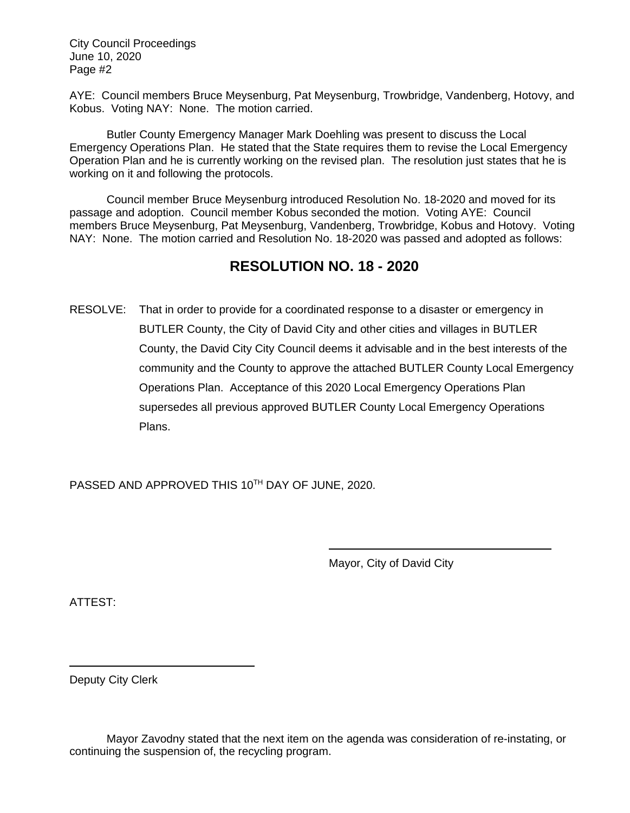AYE: Council members Bruce Meysenburg, Pat Meysenburg, Trowbridge, Vandenberg, Hotovy, and Kobus. Voting NAY: None. The motion carried.

Butler County Emergency Manager Mark Doehling was present to discuss the Local Emergency Operations Plan. He stated that the State requires them to revise the Local Emergency Operation Plan and he is currently working on the revised plan. The resolution just states that he is working on it and following the protocols.

Council member Bruce Meysenburg introduced Resolution No. 18-2020 and moved for its passage and adoption. Council member Kobus seconded the motion. Voting AYE: Council members Bruce Meysenburg, Pat Meysenburg, Vandenberg, Trowbridge, Kobus and Hotovy. Voting NAY: None. The motion carried and Resolution No. 18-2020 was passed and adopted as follows:

# **RESOLUTION NO. 18 - 2020**

RESOLVE: That in order to provide for a coordinated response to a disaster or emergency in BUTLER County, the City of David City and other cities and villages in BUTLER County, the David City City Council deems it advisable and in the best interests of the community and the County to approve the attached BUTLER County Local Emergency Operations Plan. Acceptance of this 2020 Local Emergency Operations Plan supersedes all previous approved BUTLER County Local Emergency Operations Plans.

PASSED AND APPROVED THIS 10TH DAY OF JUNE, 2020.

Mayor, City of David City

ATTEST:

Deputy City Clerk

 $\overline{\phantom{a}}$ 

Mayor Zavodny stated that the next item on the agenda was consideration of re-instating, or continuing the suspension of, the recycling program.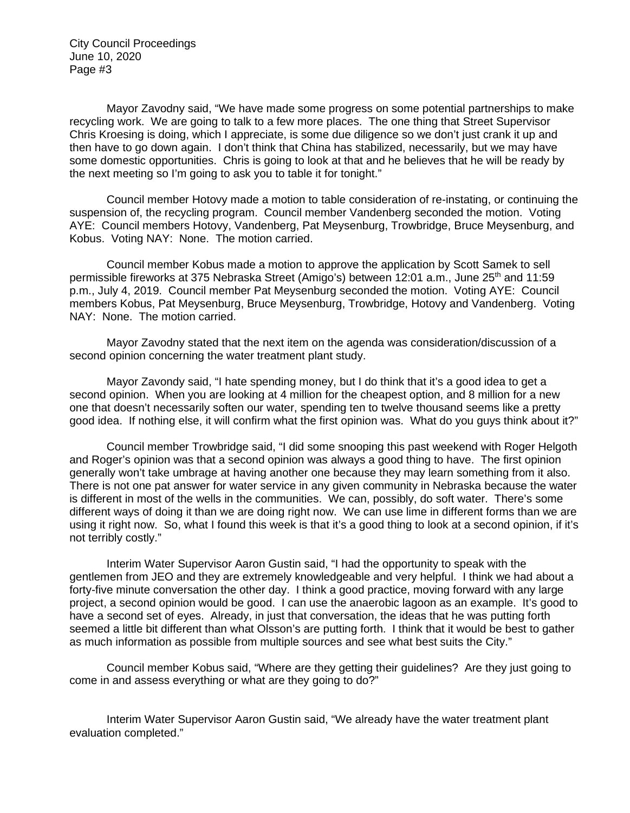Mayor Zavodny said, "We have made some progress on some potential partnerships to make recycling work. We are going to talk to a few more places. The one thing that Street Supervisor Chris Kroesing is doing, which I appreciate, is some due diligence so we don't just crank it up and then have to go down again. I don't think that China has stabilized, necessarily, but we may have some domestic opportunities. Chris is going to look at that and he believes that he will be ready by the next meeting so I'm going to ask you to table it for tonight."

Council member Hotovy made a motion to table consideration of re-instating, or continuing the suspension of, the recycling program. Council member Vandenberg seconded the motion. Voting AYE: Council members Hotovy, Vandenberg, Pat Meysenburg, Trowbridge, Bruce Meysenburg, and Kobus. Voting NAY: None. The motion carried.

Council member Kobus made a motion to approve the application by Scott Samek to sell permissible fireworks at 375 Nebraska Street (Amigo's) between 12:01 a.m., June 25<sup>th</sup> and 11:59 p.m., July 4, 2019. Council member Pat Meysenburg seconded the motion. Voting AYE: Council members Kobus, Pat Meysenburg, Bruce Meysenburg, Trowbridge, Hotovy and Vandenberg. Voting NAY: None. The motion carried.

Mayor Zavodny stated that the next item on the agenda was consideration/discussion of a second opinion concerning the water treatment plant study.

Mayor Zavondy said, "I hate spending money, but I do think that it's a good idea to get a second opinion. When you are looking at 4 million for the cheapest option, and 8 million for a new one that doesn't necessarily soften our water, spending ten to twelve thousand seems like a pretty good idea. If nothing else, it will confirm what the first opinion was. What do you guys think about it?"

Council member Trowbridge said, "I did some snooping this past weekend with Roger Helgoth and Roger's opinion was that a second opinion was always a good thing to have. The first opinion generally won't take umbrage at having another one because they may learn something from it also. There is not one pat answer for water service in any given community in Nebraska because the water is different in most of the wells in the communities. We can, possibly, do soft water. There's some different ways of doing it than we are doing right now. We can use lime in different forms than we are using it right now. So, what I found this week is that it's a good thing to look at a second opinion, if it's not terribly costly."

Interim Water Supervisor Aaron Gustin said, "I had the opportunity to speak with the gentlemen from JEO and they are extremely knowledgeable and very helpful. I think we had about a forty-five minute conversation the other day. I think a good practice, moving forward with any large project, a second opinion would be good. I can use the anaerobic lagoon as an example. It's good to have a second set of eyes. Already, in just that conversation, the ideas that he was putting forth seemed a little bit different than what Olsson's are putting forth. I think that it would be best to gather as much information as possible from multiple sources and see what best suits the City."

Council member Kobus said, "Where are they getting their guidelines? Are they just going to come in and assess everything or what are they going to do?"

Interim Water Supervisor Aaron Gustin said, "We already have the water treatment plant evaluation completed."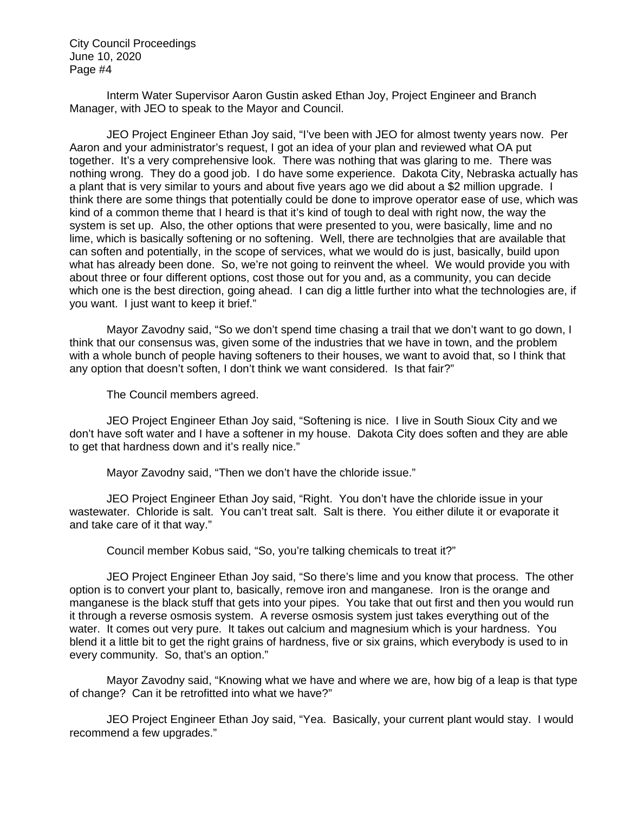Interm Water Supervisor Aaron Gustin asked Ethan Joy, Project Engineer and Branch Manager, with JEO to speak to the Mayor and Council.

JEO Project Engineer Ethan Joy said, "I've been with JEO for almost twenty years now. Per Aaron and your administrator's request, I got an idea of your plan and reviewed what OA put together. It's a very comprehensive look. There was nothing that was glaring to me. There was nothing wrong. They do a good job. I do have some experience. Dakota City, Nebraska actually has a plant that is very similar to yours and about five years ago we did about a \$2 million upgrade. I think there are some things that potentially could be done to improve operator ease of use, which was kind of a common theme that I heard is that it's kind of tough to deal with right now, the way the system is set up. Also, the other options that were presented to you, were basically, lime and no lime, which is basically softening or no softening. Well, there are technolgies that are available that can soften and potentially, in the scope of services, what we would do is just, basically, build upon what has already been done. So, we're not going to reinvent the wheel. We would provide you with about three or four different options, cost those out for you and, as a community, you can decide which one is the best direction, going ahead. I can dig a little further into what the technologies are, if you want. I just want to keep it brief."

Mayor Zavodny said, "So we don't spend time chasing a trail that we don't want to go down, I think that our consensus was, given some of the industries that we have in town, and the problem with a whole bunch of people having softeners to their houses, we want to avoid that, so I think that any option that doesn't soften, I don't think we want considered. Is that fair?"

The Council members agreed.

JEO Project Engineer Ethan Joy said, "Softening is nice. I live in South Sioux City and we don't have soft water and I have a softener in my house. Dakota City does soften and they are able to get that hardness down and it's really nice."

Mayor Zavodny said, "Then we don't have the chloride issue."

JEO Project Engineer Ethan Joy said, "Right. You don't have the chloride issue in your wastewater. Chloride is salt. You can't treat salt. Salt is there. You either dilute it or evaporate it and take care of it that way."

Council member Kobus said, "So, you're talking chemicals to treat it?"

JEO Project Engineer Ethan Joy said, "So there's lime and you know that process. The other option is to convert your plant to, basically, remove iron and manganese. Iron is the orange and manganese is the black stuff that gets into your pipes. You take that out first and then you would run it through a reverse osmosis system. A reverse osmosis system just takes everything out of the water. It comes out very pure. It takes out calcium and magnesium which is your hardness. You blend it a little bit to get the right grains of hardness, five or six grains, which everybody is used to in every community. So, that's an option."

Mayor Zavodny said, "Knowing what we have and where we are, how big of a leap is that type of change? Can it be retrofitted into what we have?"

JEO Project Engineer Ethan Joy said, "Yea. Basically, your current plant would stay. I would recommend a few upgrades."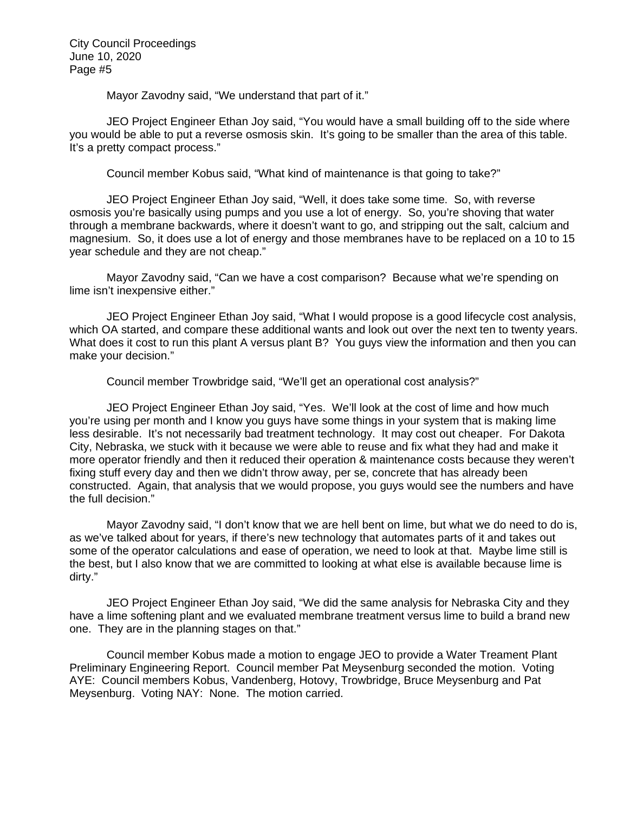Mayor Zavodny said, "We understand that part of it."

JEO Project Engineer Ethan Joy said, "You would have a small building off to the side where you would be able to put a reverse osmosis skin. It's going to be smaller than the area of this table. It's a pretty compact process."

Council member Kobus said, "What kind of maintenance is that going to take?"

JEO Project Engineer Ethan Joy said, "Well, it does take some time. So, with reverse osmosis you're basically using pumps and you use a lot of energy. So, you're shoving that water through a membrane backwards, where it doesn't want to go, and stripping out the salt, calcium and magnesium. So, it does use a lot of energy and those membranes have to be replaced on a 10 to 15 year schedule and they are not cheap."

Mayor Zavodny said, "Can we have a cost comparison? Because what we're spending on lime isn't inexpensive either."

JEO Project Engineer Ethan Joy said, "What I would propose is a good lifecycle cost analysis, which OA started, and compare these additional wants and look out over the next ten to twenty years. What does it cost to run this plant A versus plant B? You guys view the information and then you can make your decision."

Council member Trowbridge said, "We'll get an operational cost analysis?"

JEO Project Engineer Ethan Joy said, "Yes. We'll look at the cost of lime and how much you're using per month and I know you guys have some things in your system that is making lime less desirable. It's not necessarily bad treatment technology. It may cost out cheaper. For Dakota City, Nebraska, we stuck with it because we were able to reuse and fix what they had and make it more operator friendly and then it reduced their operation & maintenance costs because they weren't fixing stuff every day and then we didn't throw away, per se, concrete that has already been constructed. Again, that analysis that we would propose, you guys would see the numbers and have the full decision."

Mayor Zavodny said, "I don't know that we are hell bent on lime, but what we do need to do is, as we've talked about for years, if there's new technology that automates parts of it and takes out some of the operator calculations and ease of operation, we need to look at that. Maybe lime still is the best, but I also know that we are committed to looking at what else is available because lime is dirty."

JEO Project Engineer Ethan Joy said, "We did the same analysis for Nebraska City and they have a lime softening plant and we evaluated membrane treatment versus lime to build a brand new one. They are in the planning stages on that."

Council member Kobus made a motion to engage JEO to provide a Water Treament Plant Preliminary Engineering Report. Council member Pat Meysenburg seconded the motion. Voting AYE: Council members Kobus, Vandenberg, Hotovy, Trowbridge, Bruce Meysenburg and Pat Meysenburg. Voting NAY: None. The motion carried.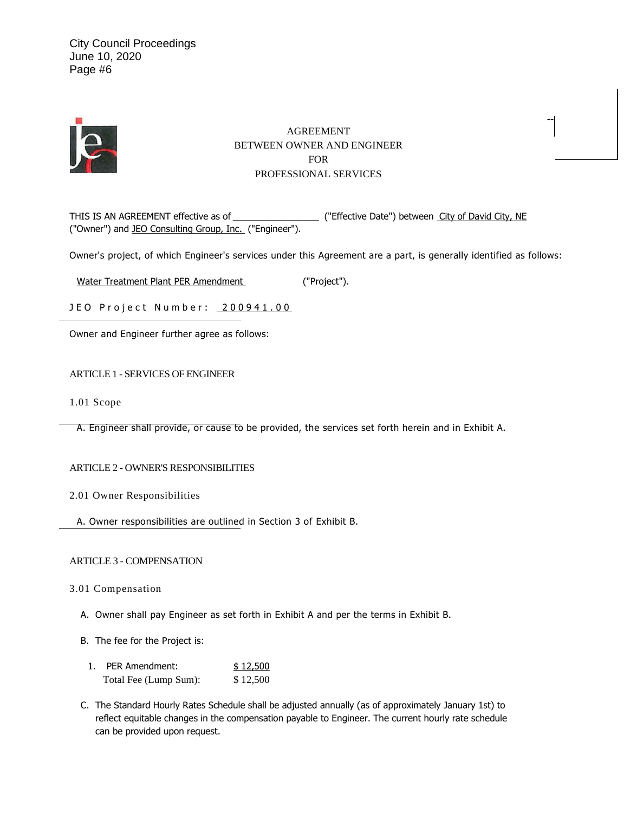

## AGREEMENT BETWEEN OWNER AND ENGINEER FOR PROFESSIONAL SERVICES

--

THIS IS AN AGREEMENT effective as of \_\_\_\_\_\_\_\_\_\_\_\_\_\_\_\_\_\_\_\_\_\_ ("Effective Date") between City of David City, NE ("Owner") and JEO Consulting Group, Inc. ("Engineer").

Owner's project, of which Engineer's services under this Agreement are a part, is generally identified as follows:

Water Treatment Plant PER Amendment ("Project").

JEO Project Number: 200941.00

Owner and Engineer further agree as follows:

ARTICLE 1 - SERVICES OF ENGINEER

1.01 Scope

A. Engineer shall provide, or cause to be provided, the services set forth herein and in Exhibit A.

#### ARTICLE 2 - OWNER'S RESPONSIBILITIES

- 2.01 Owner Responsibilities
- A. Owner responsibilities are outlined in Section 3 of Exhibit B.

#### ARTICLE 3 - COMPENSATION

3.01 Compensation

- A. Owner shall pay Engineer as set forth in Exhibit A and per the terms in Exhibit B.
- B. The fee for the Project is:
	- 1. PER Amendment: \$ 12,500 Total Fee (Lump Sum): \$12,500
- C. The Standard Hourly Rates Schedule shall be adjusted annually (as of approximately January 1st) to reflect equitable changes in the compensation payable to Engineer. The current hourly rate schedule can be provided upon request.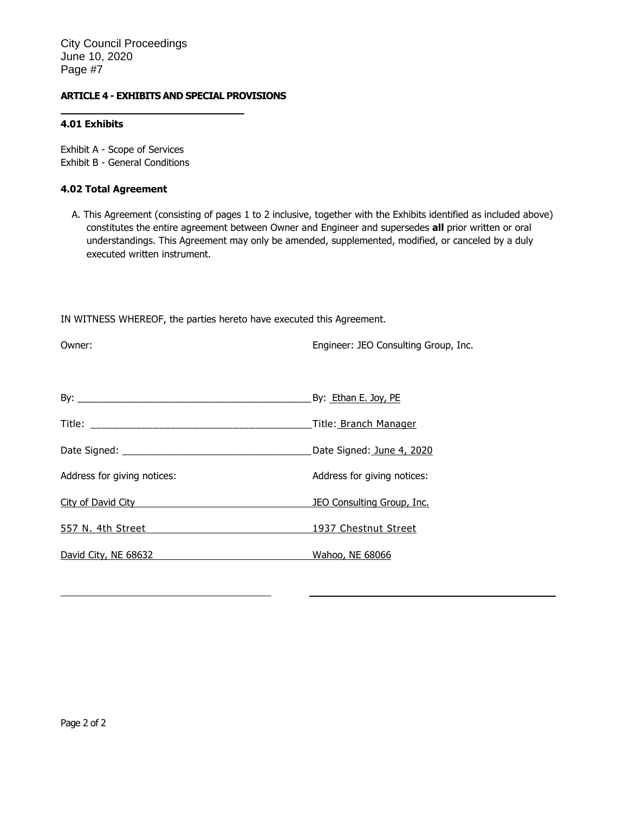### **ARTICLE 4 - EXHIBITS AND SPECIAL PROVISIONS**

### **4.01 Exhibits**

Exhibit A - Scope of Services Exhibit B - General Conditions

### **4.02 Total Agreement**

A. This Agreement (consisting of pages 1 to 2 inclusive, together with the Exhibits identified as included above) constitutes the entire agreement between Owner and Engineer and supersedes **all** prior written or oral understandings. This Agreement may only be amended, supplemented, modified, or canceled by a duly executed written instrument.

IN WITNESS WHEREOF, the parties hereto have executed this Agreement.

| Owner:                                                                                                                                                                                                                         | Engineer: JEO Consulting Group, Inc. |
|--------------------------------------------------------------------------------------------------------------------------------------------------------------------------------------------------------------------------------|--------------------------------------|
|                                                                                                                                                                                                                                |                                      |
|                                                                                                                                                                                                                                | Title: Branch Manager                |
|                                                                                                                                                                                                                                | Date Signed: June 4, 2020            |
| Address for giving notices:                                                                                                                                                                                                    | Address for giving notices:          |
| <b>City of David City City City City City City City City City City</b>                                                                                                                                                         | JEO Consulting Group, Inc.           |
| 557 N. 4th Street Street Street Street Street Street Street Street Street Street Street Street Street Street Street Street Street Street Street Street Street Street Street Street Street Street Street Street Street Street S | 1937 Chestnut Street                 |
| David City, NE 68632                                                                                                                                                                                                           | Wahoo, NE 68066                      |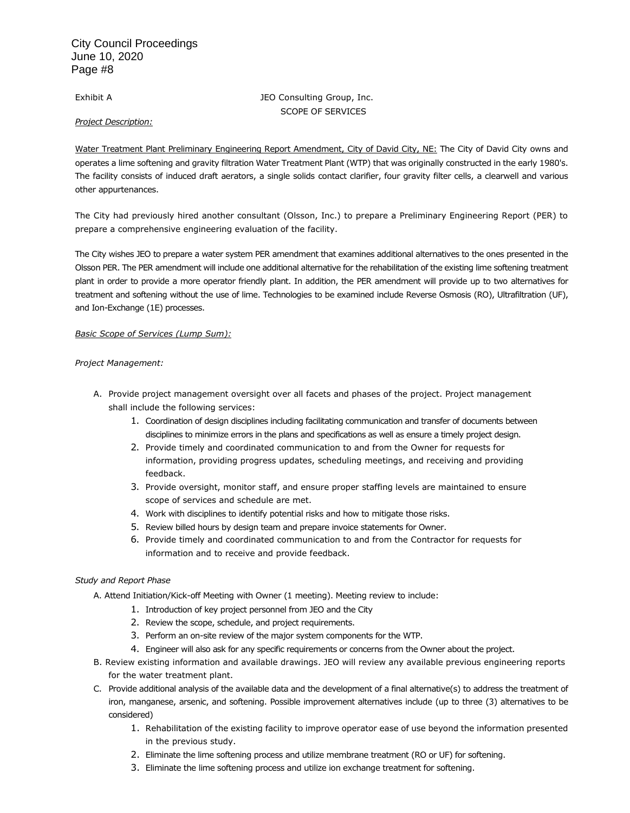#### Exhibit A **JEO** Consulting Group, Inc. SCOPE OF SERVICES

*Project Description:* 

Water Treatment Plant Preliminary Engineering Report Amendment, City of David City, NE: The City of David City owns and operates a lime softening and gravity filtration Water Treatment Plant (WTP) that was originally constructed in the early 1980's. The facility consists of induced draft aerators, a single solids contact clarifier, four gravity filter cells, a clearwell and various other appurtenances.

The City had previously hired another consultant (Olsson, Inc.) to prepare a Preliminary Engineering Report (PER) to prepare a comprehensive engineering evaluation of the facility.

The City wishes JEO to prepare a water system PER amendment that examines additional alternatives to the ones presented in the Olsson PER. The PER amendment will include one additional alternative for the rehabilitation of the existing lime softening treatment plant in order to provide a more operator friendly plant. In addition, the PER amendment will provide up to two alternatives for treatment and softening without the use of lime. Technologies to be examined include Reverse Osmosis (RO), Ultrafiltration (UF), and Ion-Exchange (1E) processes.

#### *Basic Scope of Services (Lump Sum):*

#### *Project Management:*

- A. Provide project management oversight over all facets and phases of the project. Project management shall include the following services:
	- 1. Coordination of design disciplines including facilitating communication and transfer of documents between disciplines to minimize errors in the plans and specifications as well as ensure a timely project design.
	- 2. Provide timely and coordinated communication to and from the Owner for requests for information, providing progress updates, scheduling meetings, and receiving and providing feedback.
	- 3. Provide oversight, monitor staff, and ensure proper staffing levels are maintained to ensure scope of services and schedule are met.
	- 4. Work with disciplines to identify potential risks and how to mitigate those risks.
	- 5. Review billed hours by design team and prepare invoice statements for Owner.
	- 6. Provide timely and coordinated communication to and from the Contractor for requests for information and to receive and provide feedback.

#### *Study and Report Phase*

- A. Attend Initiation/Kick-off Meeting with Owner (1 meeting). Meeting review to include:
	- 1. Introduction of key project personnel from JEO and the City
	- 2. Review the scope, schedule, and project requirements.
	- 3. Perform an on-site review of the major system components for the WTP.
	- 4. Engineer will also ask for any specific requirements or concerns from the Owner about the project.
- B. Review existing information and available drawings. JEO will review any available previous engineering reports for the water treatment plant.
- C. Provide additional analysis of the available data and the development of a final alternative(s) to address the treatment of iron, manganese, arsenic, and softening. Possible improvement alternatives include (up to three (3) alternatives to be considered)
	- 1. Rehabilitation of the existing facility to improve operator ease of use beyond the information presented in the previous study.
	- 2. Eliminate the lime softening process and utilize membrane treatment (RO or UF) for softening.
	- 3. Eliminate the lime softening process and utilize ion exchange treatment for softening.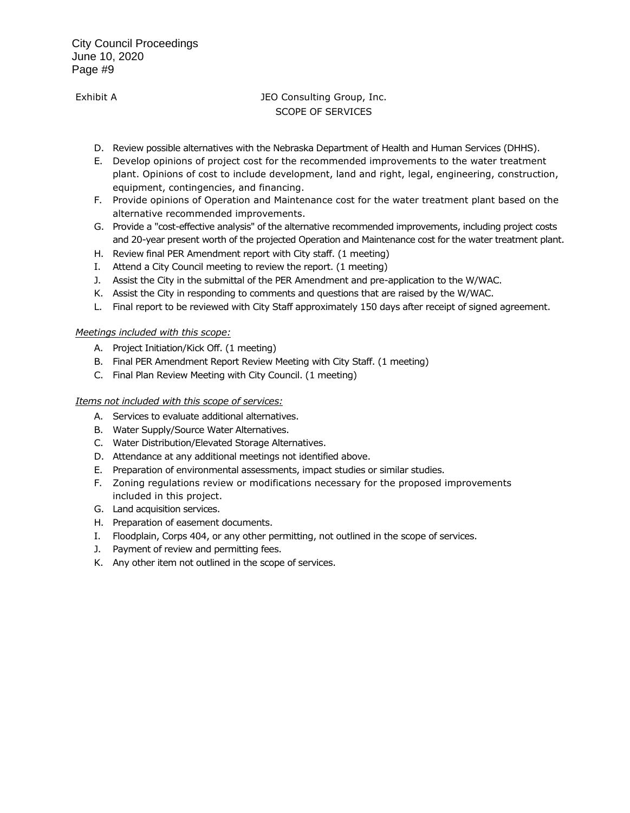# Exhibit A **IEO Consulting Group, Inc.** SCOPE OF SERVICES

- D. Review possible alternatives with the Nebraska Department of Health and Human Services (DHHS).
- E. Develop opinions of project cost for the recommended improvements to the water treatment plant. Opinions of cost to include development, land and right, legal, engineering, construction, equipment, contingencies, and financing.
- F. Provide opinions of Operation and Maintenance cost for the water treatment plant based on the alternative recommended improvements.
- G. Provide a "cost-effective analysis" of the alternative recommended improvements, including project costs and 20-year present worth of the projected Operation and Maintenance cost for the water treatment plant.
- H. Review final PER Amendment report with City staff. (1 meeting)
- I. Attend a City Council meeting to review the report. (1 meeting)
- J. Assist the City in the submittal of the PER Amendment and pre-application to the W/WAC.
- K. Assist the City in responding to comments and questions that are raised by the W/WAC.
- L. Final report to be reviewed with City Staff approximately 150 days after receipt of signed agreement.

#### *Meetings included with this scope:*

- A. Project Initiation/Kick Off. (1 meeting)
- B. Final PER Amendment Report Review Meeting with City Staff. (1 meeting)
- C. Final Plan Review Meeting with City Council. (1 meeting)

#### *Items not included with this scope of services:*

- A. Services to evaluate additional alternatives.
- B. Water Supply/Source Water Alternatives.
- C. Water Distribution/Elevated Storage Alternatives.
- D. Attendance at any additional meetings not identified above.
- E. Preparation of environmental assessments, impact studies or similar studies.
- F. Zoning regulations review or modifications necessary for the proposed improvements included in this project.
- G. Land acquisition services.
- H. Preparation of easement documents.
- I. Floodplain, Corps 404, or any other permitting, not outlined in the scope of services.
- J. Payment of review and permitting fees.
- K. Any other item not outlined in the scope of services.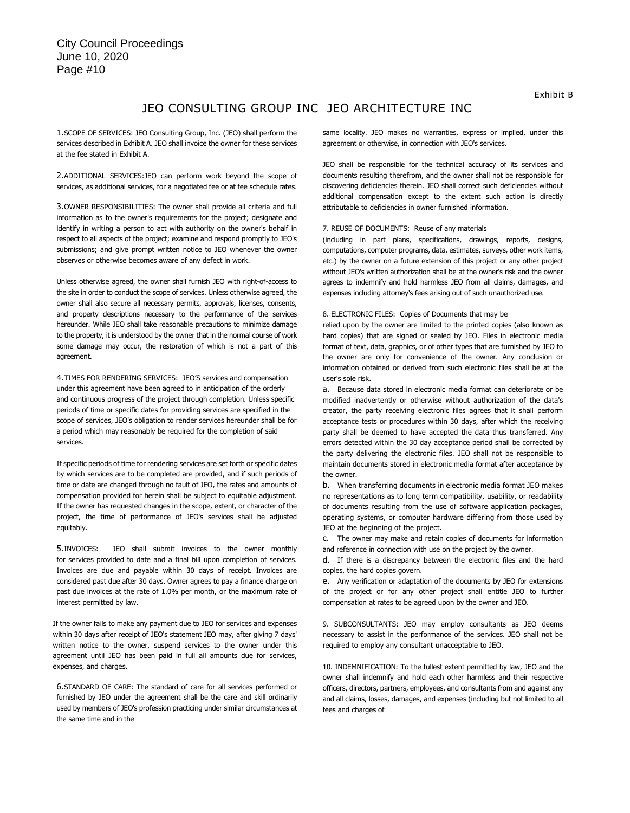# JEO CONSULTING GROUP INC JEO ARCHITECTURE INC

1.SCOPE OF SERVICES: JEO Consulting Group, Inc. (JEO) shall perform the services described in Exhibit A. JEO shall invoice the owner for these services at the fee stated in Exhibit A.

2.ADDITIONAL SERVICES:JEO can perform work beyond the scope of services, as additional services, for a negotiated fee or at fee schedule rates.

3.OWNER RESPONSIBILITIES: The owner shall provide all criteria and full information as to the owner's requirements for the project; designate and identify in writing a person to act with authority on the owner's behalf in respect to all aspects of the project; examine and respond promptly to JEO's submissions; and give prompt written notice to JEO whenever the owner observes or otherwise becomes aware of any defect in work.

Unless otherwise agreed, the owner shall furnish JEO with right-of-access to the site in order to conduct the scope of services. Unless otherwise agreed, the owner shall also secure all necessary permits, approvals, licenses, consents, and property descriptions necessary to the performance of the services hereunder. While JEO shall take reasonable precautions to minimize damage to the property, it is understood by the owner that in the normal course of work some damage may occur, the restoration of which is not a part of this agreement.

4.TIMES FOR RENDERING SERVICES: JEO'S services and compensation under this agreement have been agreed to in anticipation of the orderly and continuous progress of the project through completion. Unless specific periods of time or specific dates for providing services are specified in the scope of services, JEO's obligation to render services hereunder shall be for a period which may reasonably be required for the completion of said services.

If specific periods of time for rendering services are set forth or specific dates by which services are to be completed are provided, and if such periods of time or date are changed through no fault of JEO, the rates and amounts of compensation provided for herein shall be subject to equitable adjustment. If the owner has requested changes in the scope, extent, or character of the project, the time of performance of JEO's services shall be adjusted equitably.

5.INVOICES: JEO shall submit invoices to the owner monthly for services provided to date and a final bill upon completion of services. Invoices are due and payable within 30 days of receipt. Invoices are considered past due after 30 days. Owner agrees to pay a finance charge on past due invoices at the rate of 1.0% per month, or the maximum rate of interest permitted by law.

If the owner fails to make any payment due to JEO for services and expenses within 30 days after receipt of JEO's statement JEO may, after giving 7 days' written notice to the owner, suspend services to the owner under this agreement until JEO has been paid in full all amounts due for services, expenses, and charges.

6.STANDARD OE CARE: The standard of care for all services performed or furnished by JEO under the agreement shall be the care and skill ordinarily used by members of JEO's profession practicing under similar circumstances at the same time and in the

same locality. JEO makes no warranties, express or implied, under this agreement or otherwise, in connection with JEO's services.

JEO shall be responsible for the technical accuracy of its services and documents resulting therefrom, and the owner shall not be responsible for discovering deficiencies therein. JEO shall correct such deficiencies without additional compensation except to the extent such action is directly attributable to deficiencies in owner furnished information.

#### 7. REUSE OF DOCUMENTS: Reuse of any materials

(including in part plans, specifications, drawings, reports, designs, computations, computer programs, data, estimates, surveys, other work items, etc.) by the owner on a future extension of this project or any other project without JEO's written authorization shall be at the owner's risk and the owner agrees to indemnify and hold harmless JEO from all claims, damages, and expenses including attorney's fees arising out of such unauthorized use.

#### 8. ELECTRONIC FILES: Copies of Documents that may be

relied upon by the owner are limited to the printed copies (also known as hard copies) that are signed or sealed by JEO. Files in electronic media format of text, data, graphics, or of other types that are furnished by JEO to the owner are only for convenience of the owner. Any conclusion or information obtained or derived from such electronic files shall be at the user's sole risk.

a. Because data stored in electronic media format can deteriorate or be modified inadvertently or otherwise without authorization of the data's creator, the party receiving electronic files agrees that it shall perform acceptance tests or procedures within 30 days, after which the receiving party shall be deemed to have accepted the data thus transferred. Any errors detected within the 30 day acceptance period shall be corrected by the party delivering the electronic files. JEO shall not be responsible to maintain documents stored in electronic media format after acceptance by the owner.

b. When transferring documents in electronic media format JEO makes no representations as to long term compatibility, usability, or readability of documents resulting from the use of software application packages, operating systems, or computer hardware differing from those used by JEO at the beginning of the project.

c. The owner may make and retain copies of documents for information and reference in connection with use on the project by the owner.

d. If there is a discrepancy between the electronic files and the hard copies, the hard copies govern.

e. Any verification or adaptation of the documents by JEO for extensions of the project or for any other project shall entitle JEO to further compensation at rates to be agreed upon by the owner and JEO.

9. SUBCONSULTANTS: JEO may employ consultants as JEO deems necessary to assist in the performance of the services. JEO shall not be required to employ any consultant unacceptable to JEO.

10. INDEMNIFICATION: To the fullest extent permitted by law, JEO and the owner shall indemnify and hold each other harmless and their respective officers, directors, partners, employees, and consultants from and against any and all claims, losses, damages, and expenses (including but not limited to all fees and charges of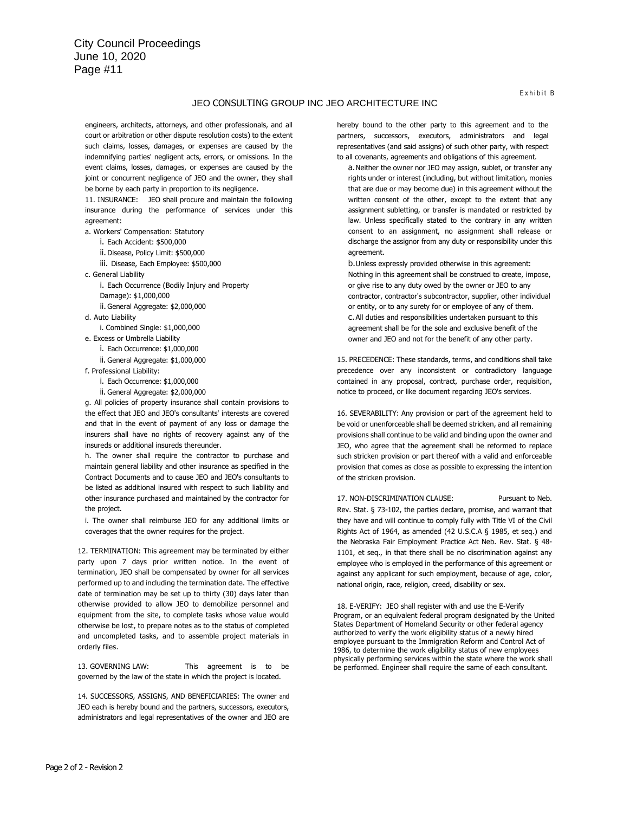#### JEO CONSULTING GROUP INC JEO ARCHITECTURE INC

engineers, architects, attorneys, and other professionals, and all court or arbitration or other dispute resolution costs) to the extent such claims, losses, damages, or expenses are caused by the indemnifying parties' negligent acts, errors, or omissions. In the event claims, losses, damages, or expenses are caused by the joint or concurrent negligence of JEO and the owner, they shall be borne by each party in proportion to its negligence.

11. INSURANCE: JEO shall procure and maintain the following insurance during the performance of services under this agreement:

a. Workers' Compensation: Statutory

i. Each Accident: \$500,000

ii. Disease, Policy Limit: \$500,000

iii. Disease, Each Employee: \$500,000

c. General Liability

i. Each Occurrence (Bodily Injury and Property Damage): \$1,000,000

ii. General Aggregate: \$2,000,000

d. Auto Liability

i. Combined Single: \$1,000,000

e. Excess or Umbrella Liability i. Each Occurrence: \$1,000,000

ii. General Aggregate: \$1,000,000

f. Professional Liability:

i. Each Occurrence: \$1,000,000 ii. General Aggregate: \$2,000,000

g. All policies of property insurance shall contain provisions to the effect that JEO and JEO's consultants' interests are covered and that in the event of payment of any loss or damage the insurers shall have no rights of recovery against any of the insureds or additional insureds thereunder.

h. The owner shall require the contractor to purchase and maintain general liability and other insurance as specified in the Contract Documents and to cause JEO and JEO's consultants to be listed as additional insured with respect to such liability and other insurance purchased and maintained by the contractor for the project.

i. The owner shall reimburse JEO for any additional limits or coverages that the owner requires for the project.

12. TERMINATION: This agreement may be terminated by either party upon 7 days prior written notice. In the event of termination, JEO shall be compensated by owner for all services performed up to and including the termination date. The effective date of termination may be set up to thirty (30) days later than otherwise provided to allow JEO to demobilize personnel and equipment from the site, to complete tasks whose value would otherwise be lost, to prepare notes as to the status of completed and uncompleted tasks, and to assemble project materials in orderly files.

13. GOVERNING LAW: This agreement is to be governed by the law of the state in which the project is located.

14. SUCCESSORS, ASSIGNS, AND BENEFICIARIES: The owner and JEO each is hereby bound and the partners, successors, executors, administrators and legal representatives of the owner and JEO are

hereby bound to the other party to this agreement and to the partners, successors, executors, administrators and legal representatives (and said assigns) of such other party, with respect to all covenants, agreements and obligations of this agreement.

a.Neither the owner nor JEO may assign, sublet, or transfer any rights under or interest (including, but without limitation, monies that are due or may become due) in this agreement without the written consent of the other, except to the extent that any assignment subletting, or transfer is mandated or restricted by law. Unless specifically stated to the contrary in any written consent to an assignment, no assignment shall release or discharge the assignor from any duty or responsibility under this agreement.

b.Unless expressly provided otherwise in this agreement: Nothing in this agreement shall be construed to create, impose, or give rise to any duty owed by the owner or JEO to any contractor, contractor's subcontractor, supplier, other individual or entity, or to any surety for or employee of any of them. c. All duties and responsibilities undertaken pursuant to this agreement shall be for the sole and exclusive benefit of the owner and JEO and not for the benefit of any other party.

15. PRECEDENCE: These standards, terms, and conditions shall take precedence over any inconsistent or contradictory language contained in any proposal, contract, purchase order, requisition, notice to proceed, or like document regarding JEO's services.

16. SEVERABILITY: Any provision or part of the agreement held to be void or unenforceable shall be deemed stricken, and all remaining provisions shall continue to be valid and binding upon the owner and JEO, who agree that the agreement shall be reformed to replace such stricken provision or part thereof with a valid and enforceable provision that comes as close as possible to expressing the intention of the stricken provision.

17. NON-DISCRIMINATION CLAUSE: Pursuant to Neb. Rev. Stat. § 73-102, the parties declare, promise, and warrant that they have and will continue to comply fully with Title VI of the Civil Rights Act of 1964, as amended (42 U.S.C.A § 1985, et seq.) and the Nebraska Fair Employment Practice Act Neb. Rev. Stat. § 48- 1101, et seq., in that there shall be no discrimination against any employee who is employed in the performance of this agreement or against any applicant for such employment, because of age, color, national origin, race, religion, creed, disability or sex.

18. E-VERIFY: JEO shall register with and use the E-Verify Program, or an equivalent federal program designated by the United States Department of Homeland Security or other federal agency authorized to verify the work eligibility status of a newly hired employee pursuant to the Immigration Reform and Control Act of 1986, to determine the work eligibility status of new employees physically performing services within the state where the work shall be performed. Engineer shall require the same of each consultant.

Exhibit B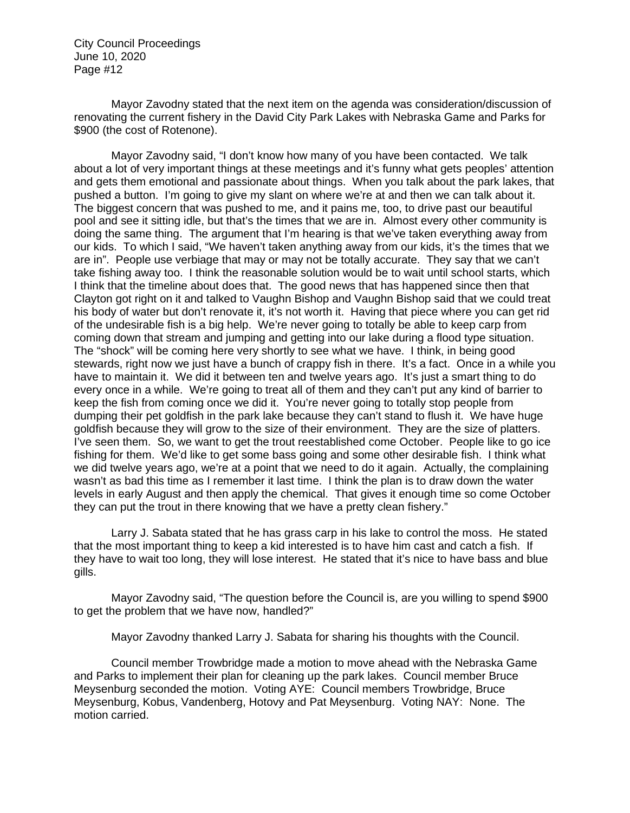Mayor Zavodny stated that the next item on the agenda was consideration/discussion of renovating the current fishery in the David City Park Lakes with Nebraska Game and Parks for \$900 (the cost of Rotenone).

Mayor Zavodny said, "I don't know how many of you have been contacted. We talk about a lot of very important things at these meetings and it's funny what gets peoples' attention and gets them emotional and passionate about things. When you talk about the park lakes, that pushed a button. I'm going to give my slant on where we're at and then we can talk about it. The biggest concern that was pushed to me, and it pains me, too, to drive past our beautiful pool and see it sitting idle, but that's the times that we are in. Almost every other community is doing the same thing. The argument that I'm hearing is that we've taken everything away from our kids. To which I said, "We haven't taken anything away from our kids, it's the times that we are in". People use verbiage that may or may not be totally accurate. They say that we can't take fishing away too. I think the reasonable solution would be to wait until school starts, which I think that the timeline about does that. The good news that has happened since then that Clayton got right on it and talked to Vaughn Bishop and Vaughn Bishop said that we could treat his body of water but don't renovate it, it's not worth it. Having that piece where you can get rid of the undesirable fish is a big help. We're never going to totally be able to keep carp from coming down that stream and jumping and getting into our lake during a flood type situation. The "shock" will be coming here very shortly to see what we have. I think, in being good stewards, right now we just have a bunch of crappy fish in there. It's a fact. Once in a while you have to maintain it. We did it between ten and twelve years ago. It's just a smart thing to do every once in a while. We're going to treat all of them and they can't put any kind of barrier to keep the fish from coming once we did it. You're never going to totally stop people from dumping their pet goldfish in the park lake because they can't stand to flush it. We have huge goldfish because they will grow to the size of their environment. They are the size of platters. I've seen them. So, we want to get the trout reestablished come October. People like to go ice fishing for them. We'd like to get some bass going and some other desirable fish. I think what we did twelve years ago, we're at a point that we need to do it again. Actually, the complaining wasn't as bad this time as I remember it last time. I think the plan is to draw down the water levels in early August and then apply the chemical. That gives it enough time so come October they can put the trout in there knowing that we have a pretty clean fishery."

Larry J. Sabata stated that he has grass carp in his lake to control the moss. He stated that the most important thing to keep a kid interested is to have him cast and catch a fish. If they have to wait too long, they will lose interest. He stated that it's nice to have bass and blue gills.

Mayor Zavodny said, "The question before the Council is, are you willing to spend \$900 to get the problem that we have now, handled?"

Mayor Zavodny thanked Larry J. Sabata for sharing his thoughts with the Council.

Council member Trowbridge made a motion to move ahead with the Nebraska Game and Parks to implement their plan for cleaning up the park lakes. Council member Bruce Meysenburg seconded the motion. Voting AYE: Council members Trowbridge, Bruce Meysenburg, Kobus, Vandenberg, Hotovy and Pat Meysenburg. Voting NAY: None. The motion carried.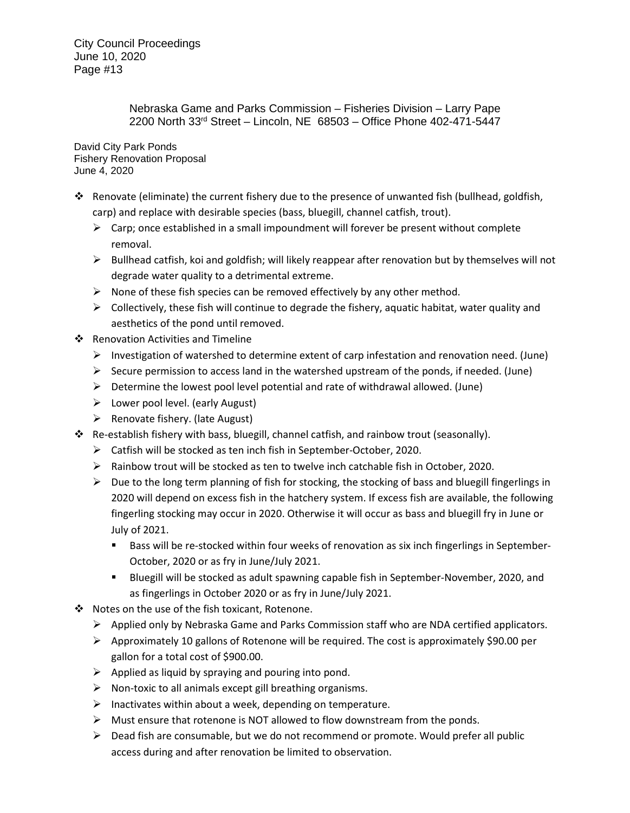> Nebraska Game and Parks Commission – Fisheries Division – Larry Pape 2200 North 33rd Street – Lincoln, NE 68503 – Office Phone 402-471-5447

David City Park Ponds Fishery Renovation Proposal June 4, 2020

- Renovate (eliminate) the current fishery due to the presence of unwanted fish (bullhead, goldfish, carp) and replace with desirable species (bass, bluegill, channel catfish, trout).
	- $\triangleright$  Carp; once established in a small impoundment will forever be present without complete removal.
	- $\triangleright$  Bullhead catfish, koi and goldfish; will likely reappear after renovation but by themselves will not degrade water quality to a detrimental extreme.
	- $\triangleright$  None of these fish species can be removed effectively by any other method.
	- $\triangleright$  Collectively, these fish will continue to degrade the fishery, aquatic habitat, water quality and aesthetics of the pond until removed.
- ❖ Renovation Activities and Timeline
	- Investigation of watershed to determine extent of carp infestation and renovation need. (June)
	- $\triangleright$  Secure permission to access land in the watershed upstream of the ponds, if needed. (June)
	- $\triangleright$  Determine the lowest pool level potential and rate of withdrawal allowed. (June)
	- $\triangleright$  Lower pool level. (early August)
	- $\triangleright$  Renovate fishery. (late August)
- Re-establish fishery with bass, bluegill, channel catfish, and rainbow trout (seasonally).
	- Catfish will be stocked as ten inch fish in September-October, 2020.
	- $\triangleright$  Rainbow trout will be stocked as ten to twelve inch catchable fish in October, 2020.
	- $\triangleright$  Due to the long term planning of fish for stocking, the stocking of bass and bluegill fingerlings in 2020 will depend on excess fish in the hatchery system. If excess fish are available, the following fingerling stocking may occur in 2020. Otherwise it will occur as bass and bluegill fry in June or July of 2021.
		- Bass will be re-stocked within four weeks of renovation as six inch fingerlings in September-October, 2020 or as fry in June/July 2021.
		- Bluegill will be stocked as adult spawning capable fish in September-November, 2020, and as fingerlings in October 2020 or as fry in June/July 2021.
- ❖ Notes on the use of the fish toxicant, Rotenone.
	- $\triangleright$  Applied only by Nebraska Game and Parks Commission staff who are NDA certified applicators.
	- $\triangleright$  Approximately 10 gallons of Rotenone will be required. The cost is approximately \$90.00 per gallon for a total cost of \$900.00.
	- $\triangleright$  Applied as liquid by spraying and pouring into pond.
	- $\triangleright$  Non-toxic to all animals except gill breathing organisms.
	- $\triangleright$  Inactivates within about a week, depending on temperature.
	- $\triangleright$  Must ensure that rotenone is NOT allowed to flow downstream from the ponds.
	- $\triangleright$  Dead fish are consumable, but we do not recommend or promote. Would prefer all public access during and after renovation be limited to observation.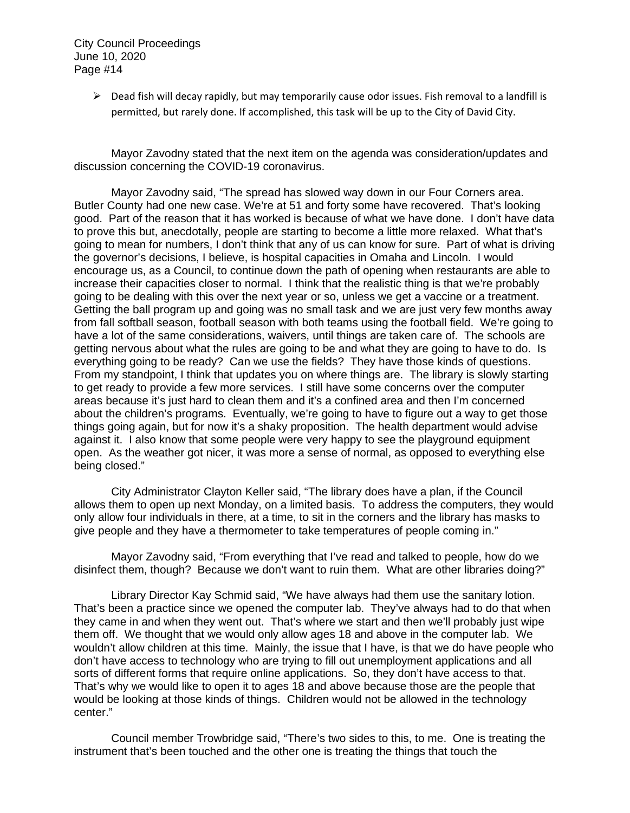> $\triangleright$  Dead fish will decay rapidly, but may temporarily cause odor issues. Fish removal to a landfill is permitted, but rarely done. If accomplished, this task will be up to the City of David City.

Mayor Zavodny stated that the next item on the agenda was consideration/updates and discussion concerning the COVID-19 coronavirus.

Mayor Zavodny said, "The spread has slowed way down in our Four Corners area. Butler County had one new case. We're at 51 and forty some have recovered. That's looking good. Part of the reason that it has worked is because of what we have done. I don't have data to prove this but, anecdotally, people are starting to become a little more relaxed. What that's going to mean for numbers, I don't think that any of us can know for sure. Part of what is driving the governor's decisions, I believe, is hospital capacities in Omaha and Lincoln. I would encourage us, as a Council, to continue down the path of opening when restaurants are able to increase their capacities closer to normal. I think that the realistic thing is that we're probably going to be dealing with this over the next year or so, unless we get a vaccine or a treatment. Getting the ball program up and going was no small task and we are just very few months away from fall softball season, football season with both teams using the football field. We're going to have a lot of the same considerations, waivers, until things are taken care of. The schools are getting nervous about what the rules are going to be and what they are going to have to do. Is everything going to be ready? Can we use the fields? They have those kinds of questions. From my standpoint, I think that updates you on where things are. The library is slowly starting to get ready to provide a few more services. I still have some concerns over the computer areas because it's just hard to clean them and it's a confined area and then I'm concerned about the children's programs. Eventually, we're going to have to figure out a way to get those things going again, but for now it's a shaky proposition. The health department would advise against it. I also know that some people were very happy to see the playground equipment open. As the weather got nicer, it was more a sense of normal, as opposed to everything else being closed."

City Administrator Clayton Keller said, "The library does have a plan, if the Council allows them to open up next Monday, on a limited basis. To address the computers, they would only allow four individuals in there, at a time, to sit in the corners and the library has masks to give people and they have a thermometer to take temperatures of people coming in."

Mayor Zavodny said, "From everything that I've read and talked to people, how do we disinfect them, though? Because we don't want to ruin them. What are other libraries doing?"

Library Director Kay Schmid said, "We have always had them use the sanitary lotion. That's been a practice since we opened the computer lab. They've always had to do that when they came in and when they went out. That's where we start and then we'll probably just wipe them off. We thought that we would only allow ages 18 and above in the computer lab. We wouldn't allow children at this time. Mainly, the issue that I have, is that we do have people who don't have access to technology who are trying to fill out unemployment applications and all sorts of different forms that require online applications. So, they don't have access to that. That's why we would like to open it to ages 18 and above because those are the people that would be looking at those kinds of things. Children would not be allowed in the technology center."

Council member Trowbridge said, "There's two sides to this, to me. One is treating the instrument that's been touched and the other one is treating the things that touch the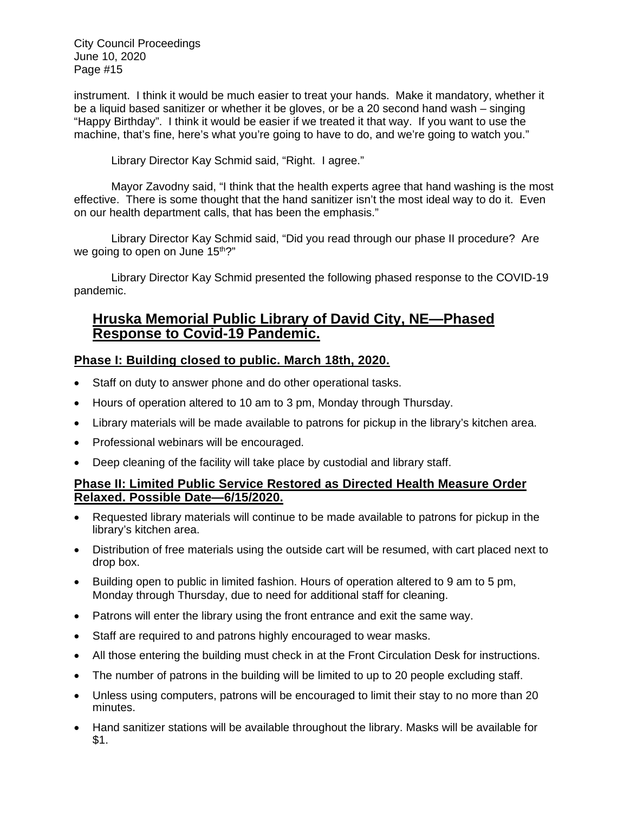instrument. I think it would be much easier to treat your hands. Make it mandatory, whether it be a liquid based sanitizer or whether it be gloves, or be a 20 second hand wash – singing "Happy Birthday". I think it would be easier if we treated it that way. If you want to use the machine, that's fine, here's what you're going to have to do, and we're going to watch you."

Library Director Kay Schmid said, "Right. I agree."

Mayor Zavodny said, "I think that the health experts agree that hand washing is the most effective. There is some thought that the hand sanitizer isn't the most ideal way to do it. Even on our health department calls, that has been the emphasis."

Library Director Kay Schmid said, "Did you read through our phase II procedure? Are we going to open on June 15<sup>th</sup>?"

Library Director Kay Schmid presented the following phased response to the COVID-19 pandemic.

# **Hruska Memorial Public Library of David City, NE—Phased Response to Covid-19 Pandemic.**

# **Phase I: Building closed to public. March 18th, 2020.**

- Staff on duty to answer phone and do other operational tasks.
- Hours of operation altered to 10 am to 3 pm, Monday through Thursday.
- Library materials will be made available to patrons for pickup in the library's kitchen area.
- Professional webinars will be encouraged.
- Deep cleaning of the facility will take place by custodial and library staff.

# **Phase II: Limited Public Service Restored as Directed Health Measure Order Relaxed. Possible Date—6/15/2020.**

- Requested library materials will continue to be made available to patrons for pickup in the library's kitchen area.
- Distribution of free materials using the outside cart will be resumed, with cart placed next to drop box.
- Building open to public in limited fashion. Hours of operation altered to 9 am to 5 pm, Monday through Thursday, due to need for additional staff for cleaning.
- Patrons will enter the library using the front entrance and exit the same way.
- Staff are required to and patrons highly encouraged to wear masks.
- All those entering the building must check in at the Front Circulation Desk for instructions.
- The number of patrons in the building will be limited to up to 20 people excluding staff.
- Unless using computers, patrons will be encouraged to limit their stay to no more than 20 minutes.
- Hand sanitizer stations will be available throughout the library. Masks will be available for \$1.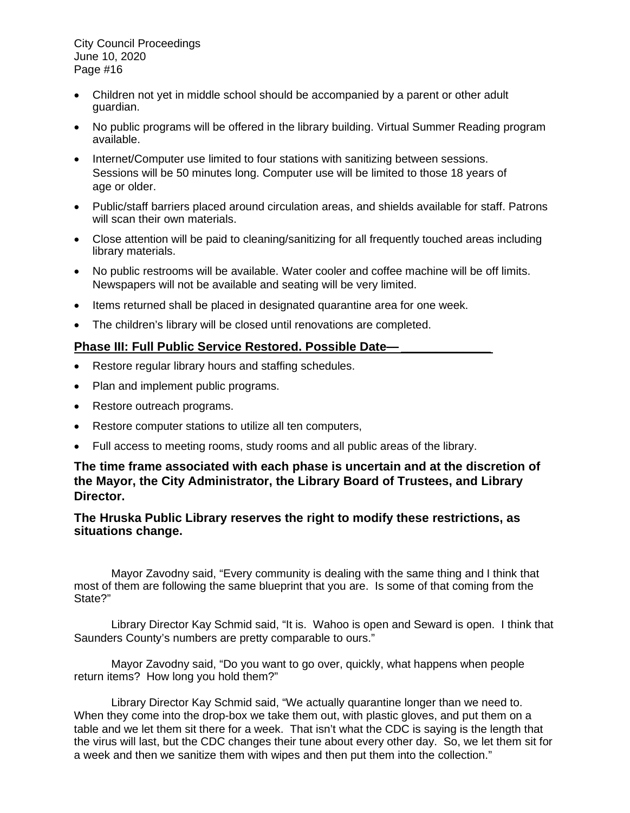- Children not yet in middle school should be accompanied by a parent or other adult guardian.
- No public programs will be offered in the library building. Virtual Summer Reading program available.
- Internet/Computer use limited to four stations with sanitizing between sessions. Sessions will be 50 minutes long. Computer use will be limited to those 18 years of age or older.
- Public/staff barriers placed around circulation areas, and shields available for staff. Patrons will scan their own materials.
- Close attention will be paid to cleaning/sanitizing for all frequently touched areas including library materials.
- No public restrooms will be available. Water cooler and coffee machine will be off limits. Newspapers will not be available and seating will be very limited.
- Items returned shall be placed in designated quarantine area for one week.
- The children's library will be closed until renovations are completed.

# Phase III: Full Public Service Restored. Possible Date-

- Restore regular library hours and staffing schedules.
- Plan and implement public programs.
- Restore outreach programs.
- Restore computer stations to utilize all ten computers,
- Full access to meeting rooms, study rooms and all public areas of the library.

# **The time frame associated with each phase is uncertain and at the discretion of the Mayor, the City Administrator, the Library Board of Trustees, and Library Director.**

# **The Hruska Public Library reserves the right to modify these restrictions, as situations change.**

Mayor Zavodny said, "Every community is dealing with the same thing and I think that most of them are following the same blueprint that you are. Is some of that coming from the State?"

Library Director Kay Schmid said, "It is. Wahoo is open and Seward is open. I think that Saunders County's numbers are pretty comparable to ours."

Mayor Zavodny said, "Do you want to go over, quickly, what happens when people return items? How long you hold them?"

Library Director Kay Schmid said, "We actually quarantine longer than we need to. When they come into the drop-box we take them out, with plastic gloves, and put them on a table and we let them sit there for a week. That isn't what the CDC is saying is the length that the virus will last, but the CDC changes their tune about every other day. So, we let them sit for a week and then we sanitize them with wipes and then put them into the collection."